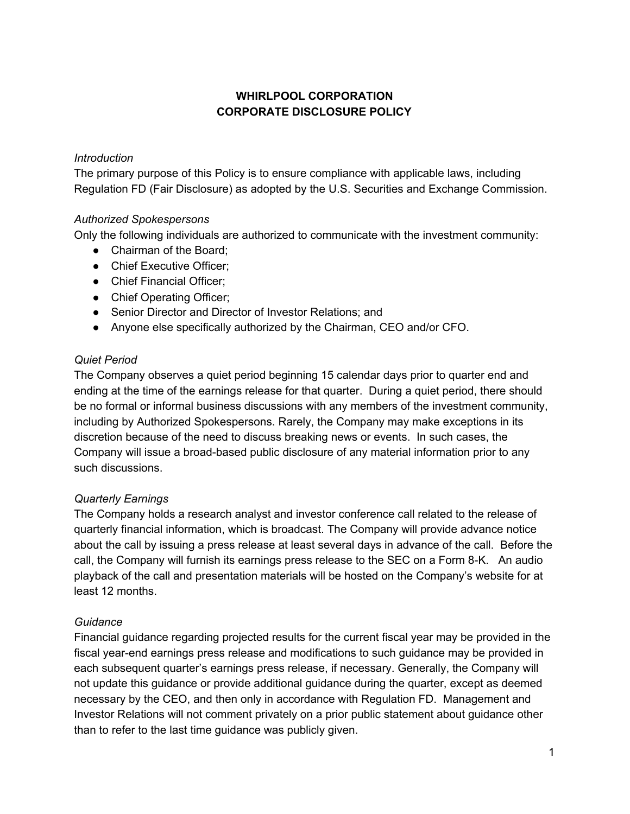# **WHIRLPOOL CORPORATION CORPORATE DISCLOSURE POLICY**

### *Introduction*

The primary purpose of this Policy is to ensure compliance with applicable laws, including Regulation FD (Fair Disclosure) as adopted by the U.S. Securities and Exchange Commission.

# *Authorized Spokespersons*

Only the following individuals are authorized to communicate with the investment community:

- Chairman of the Board:
- Chief Executive Officer:
- Chief Financial Officer;
- Chief Operating Officer;
- Senior Director and Director of Investor Relations: and
- Anyone else specifically authorized by the Chairman, CEO and/or CFO.

# *Quiet Period*

The Company observes a quiet period beginning 15 calendar days prior to quarter end and ending at the time of the earnings release for that quarter. During a quiet period, there should be no formal or informal business discussions with any members of the investment community, including by Authorized Spokespersons. Rarely, the Company may make exceptions in its discretion because of the need to discuss breaking news or events. In such cases, the Company will issue a broad-based public disclosure of any material information prior to any such discussions.

### *Quarterly Earnings*

The Company holds a research analyst and investor conference call related to the release of quarterly financial information, which is broadcast. The Company will provide advance notice about the call by issuing a press release at least several days in advance of the call. Before the call, the Company will furnish its earnings press release to the SEC on a Form 8-K. An audio playback of the call and presentation materials will be hosted on the Company's website for at least 12 months.

### *Guidance*

Financial guidance regarding projected results for the current fiscal year may be provided in the fiscal year-end earnings press release and modifications to such guidance may be provided in each subsequent quarter's earnings press release, if necessary. Generally, the Company will not update this guidance or provide additional guidance during the quarter, except as deemed necessary by the CEO, and then only in accordance with Regulation FD. Management and Investor Relations will not comment privately on a prior public statement about guidance other than to refer to the last time guidance was publicly given.